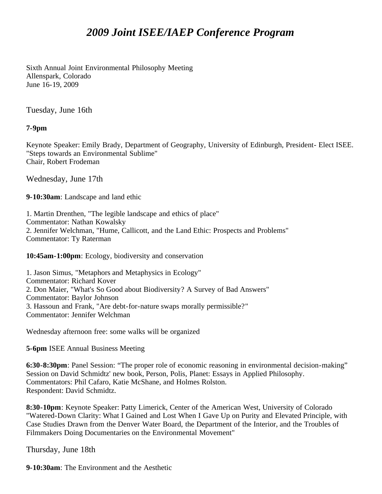## *2009 Joint ISEE/IAEP Conference Program*

Sixth Annual Joint Environmental Philosophy Meeting Allenspark, Colorado June 16-19, 2009

Tuesday, June 16th

## **7-9pm**

Keynote Speaker: Emily Brady, Department of Geography, University of Edinburgh, President- Elect ISEE. "Steps towards an Environmental Sublime" Chair, Robert Frodeman

Wednesday, June 17th

**9-10:30am**: Landscape and land ethic

1. Martin Drenthen, "The legible landscape and ethics of place" Commentator: Nathan Kowalsky 2. Jennifer Welchman, "Hume, Callicott, and the Land Ethic: Prospects and Problems" Commentator: Ty Raterman

**10:45am-1:00pm**: Ecology, biodiversity and conservation

1. Jason Simus, "Metaphors and Metaphysics in Ecology" Commentator: Richard Kover 2. Don Maier, "What's So Good about Biodiversity? A Survey of Bad Answers" Commentator: Baylor Johnson 3. Hassoun and Frank, "Are debt-for-nature swaps morally permissible?" Commentator: Jennifer Welchman

Wednesday afternoon free: some walks will be organized

**5-6pm** ISEE Annual Business Meeting

**6:30-8:30pm**: Panel Session: "The proper role of economic reasoning in environmental decision-making" Session on David Schmidtz' new book, Person, Polis, Planet: Essays in Applied Philosophy. Commentators: Phil Cafaro, Katie McShane, and Holmes Rolston. Respondent: David Schmidtz.

**8:30-10pm**: Keynote Speaker: Patty Limerick, Center of the American West, University of Colorado "Watered-Down Clarity: What I Gained and Lost When I Gave Up on Purity and Elevated Principle, with Case Studies Drawn from the Denver Water Board, the Department of the Interior, and the Troubles of Filmmakers Doing Documentaries on the Environmental Movement"

Thursday, June 18th

**9-10:30am**: The Environment and the Aesthetic